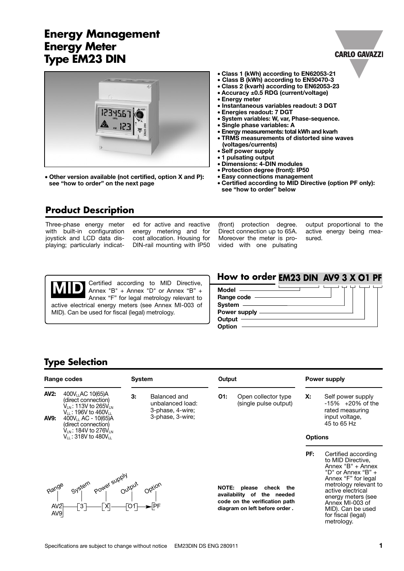## **Energy Management Energy Meter Type EM23 DIN**



• **Other version available (not certified, option X and P): see "how to order" on the next page**

- **Class 1 (kWh) according to EN62053-21**
- **Class B (kWh) according to EN50470-3**
- **Class 2 (kvarh) according to EN62053-23**
- **Accuracy ±0.5 RDG (current/voltage)**
- **Energy meter**
- **Instantaneous variables readout: 3 DGT**
- **Energies readout: 7 DGT**
- **System variables: W, var, Phase-sequence.**
- **Single phase variables: A**
- **Energy measurements: total kWh and kvarh**
- **TRMS measurements of distorted sine waves (voltages/currents)**
- **Self power supply**
- **1 pulsating output**
- **Dimensions: 4-DIN modules**
- **Protection degree (front): IP50**
- **Easy connections management**
- **Certified according to MID Directive (option PF only): see "how to order" below**

#### **Product Description**

Three-phase energy meter with built-in configuration joystick and LCD data displaying; particularly indicat-

ed for active and reactive energy metering and for cost allocation. Housing for DIN-rail mounting with IP50

(front) protection degree. Direct connection up to 65A. Moreover the meter is provided with one pulsating

output proportional to the active energy being measured.

**CARLO GAVAZZI** 

Certified according to MID Directive, Annex "B" + Annex "D" or Annex "B" + Annex "F" for legal metrology relevant to active electrical energy meters (see Annex MI-003 of MID). Can be used for fiscal (legal) metrology. **MID**

#### **How to order EM23 DIN AV9 3 X O1 PF**



#### **Type Selection**

|                        | Range codes                                                                                                                                                                              | <b>System</b> |                                                                          | Output |                                                                                                                           |                | Power supply                                                                                                                                                                                                                                 |
|------------------------|------------------------------------------------------------------------------------------------------------------------------------------------------------------------------------------|---------------|--------------------------------------------------------------------------|--------|---------------------------------------------------------------------------------------------------------------------------|----------------|----------------------------------------------------------------------------------------------------------------------------------------------------------------------------------------------------------------------------------------------|
| AV2:<br>AV9:           | 400V <sub>LL</sub> AC 10(65)A<br>(direct connection)<br>$V_{IN}$ : 113V to 265V <sub>LN</sub><br>$V_{11}$ : 196V to 460V <sub>L</sub><br>$400V_{11}$ AC - 10(65)A<br>(direct connection) | 3:            | Balanced and<br>unbalanced load:<br>3-phase, 4-wire;<br>3-phase, 3-wire; | O1:    | Open collector type<br>(single pulse output)                                                                              | Х:             | Self power supply<br>$-15\%$ $+20\%$ of the<br>rated measuring<br>input voltage,<br>45 to 65 Hz                                                                                                                                              |
|                        | $V_{IN}$ : 184V to 276V <sub>LN</sub><br>$V_{11}$ : 318V to 480V $_{11}$                                                                                                                 |               |                                                                          |        |                                                                                                                           | <b>Options</b> |                                                                                                                                                                                                                                              |
| AV <sub>2</sub><br>AV9 | Range System power supply<br>Range System power supply<br>——[3]——[X]——[O1]— <del>→</del> [PF                                                                                             |               |                                                                          |        | NOTE: please<br>check the<br>availability of the needed<br>code on the verification path<br>diagram on left before order. | PF:            | Certified according<br>to MID Directive,<br>Annex "B" + Annex<br>"D" or Annex "B" +<br>Annex "F" for legal<br>metrology relevant to<br>active electrical<br>energy meters (see<br>Annex MI-003 of<br>MID). Can be used<br>for fiscal (legal) |

metrology.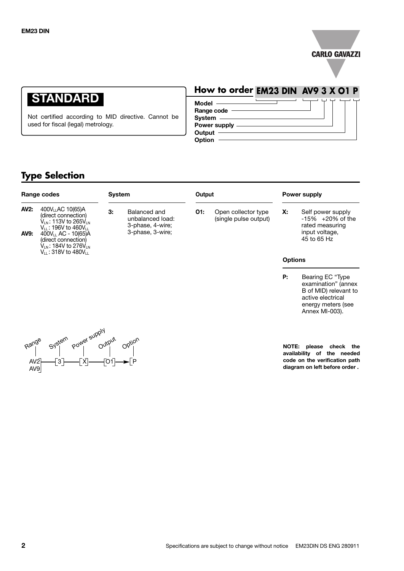

# **STANDARD**

Not certified according to MID directive. Cannot be used for fiscal (legal) metrology.

# **How to order EM23 DIN AV9 3 X O1 P**

| Model -        |  |
|----------------|--|
| Range code     |  |
| System $-$     |  |
| Power supply - |  |
| Output         |  |
| Option         |  |

## **Type Selection**

|                            | Range codes                                                                                                                                                                                                             | <b>System</b> |                                                                          | Output |                                              |                | Power supply                                                                                   |
|----------------------------|-------------------------------------------------------------------------------------------------------------------------------------------------------------------------------------------------------------------------|---------------|--------------------------------------------------------------------------|--------|----------------------------------------------|----------------|------------------------------------------------------------------------------------------------|
| <b>AV2:</b><br><b>AV9:</b> | 400V <sub>LL</sub> AC 10(65)A<br>(direct connection)<br>V <sub>IN</sub> : 113V to 265V <sub>IN</sub><br>$V_{11}$ : 196V to 460V $_{11}$<br>$400V_{LL}$ AC - 10(65)A<br>(direct connection)<br>$V_{LN}$ : 184V to 276VLN | 3:            | Balanced and<br>unbalanced load:<br>3-phase, 4-wire;<br>3-phase, 3-wire; | O1:    | Open collector type<br>(single pulse output) | х.             | Self power supply<br>$-15\% + 20\%$ of the<br>rated measuring<br>input voltage,<br>45 to 65 Hz |
|                            | $V_{11}$ : 318V to 480V $_{11}$                                                                                                                                                                                         |               |                                                                          |        |                                              | <b>Options</b> |                                                                                                |
|                            |                                                                                                                                                                                                                         |               |                                                                          |        |                                              | P:             | Bearing EC "Type"<br>examination" (annex                                                       |



**NOTE: please check the availability of the needed code on the verification path diagram on left before order .**

B of MID) relevant to active electrical energy meters (see Annex MI-003).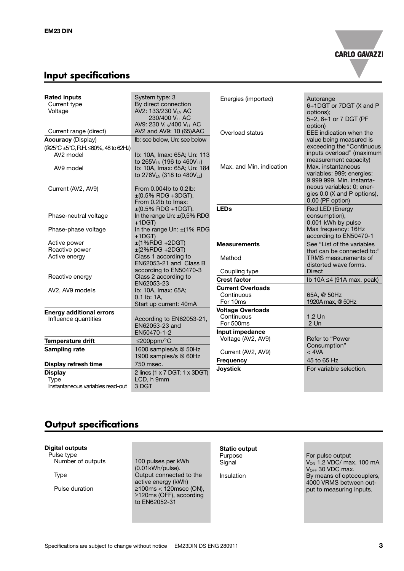

## **Input specifications**

| <b>Rated inputs</b><br>Current type<br>Voltage                            | System type: 3<br>By direct connection<br>AV2: 133/230 VLN AC<br>230/400 VL AC<br>AV9: 230 V <sub>LN</sub> /400 V <sub>LL</sub> AC | Energies (imported)                                | Autorange<br>6+1DGT or 7DGT (X and P<br>options);<br>5+2, 6+1 or 7 DGT (PF<br>option)                 |
|---------------------------------------------------------------------------|------------------------------------------------------------------------------------------------------------------------------------|----------------------------------------------------|-------------------------------------------------------------------------------------------------------|
| Current range (direct)                                                    | AV2 and AV9: 10 (65)AAC                                                                                                            | Overload status                                    | EEE indication when the                                                                               |
| <b>Accuracy (Display)</b>                                                 | Ib: see below. Un: see below                                                                                                       |                                                    | value being measured is                                                                               |
| (@25°C ±5°C, R.H. ≤60%, 48 to 62Hz)<br>AV <sub>2</sub> model<br>AV9 model | Ib: 10A, Imax: 65A; Un: 113<br>to 265VLN (196 to 460VLL)<br>Ib: 10A, Imax: 65A; Un: 184                                            | Max. and Min. indication                           | exceeding the "Continuous<br>inputs overload" (maximum<br>measurement capacity)<br>Max. instantaneous |
|                                                                           | to 276V <sub>LN</sub> (318 to 480V <sub>LL</sub> )                                                                                 |                                                    | variables: 999; energies:<br>9 999 999. Min. instanta-                                                |
| Current (AV2, AV9)                                                        | From 0.004lb to 0.2lb:<br>$\pm$ (0.5% RDG +3DGT).<br>From 0.2lb to Imax:                                                           |                                                    | neous variables: 0; ener-<br>gies 0.0 (X and P options),<br>0.00 (PF option)                          |
| Phase-neutral voltage                                                     | $\pm (0.5\% \text{ RDG} + 1\text{DGT}).$<br>In the range Un: $\pm(0.5\% \text{ RDG})$<br>$+1$ DGT)                                 | <b>LEDs</b>                                        | Red LED (Energy<br>consumption),<br>0.001 kWh by pulse                                                |
| Phase-phase voltage                                                       | In the range Un: $\pm$ (1% RDG<br>$+1$ DGT)                                                                                        |                                                    | Max frequency: 16Hz<br>according to EN50470-1                                                         |
| Active power<br>Reactive power                                            | $±(1%RDG +2DGT)$<br>$\pm$ (2%RDG +2DGT)                                                                                            | <b>Measurements</b>                                | See "List of the variables<br>that can be connected to:"                                              |
| Active energy                                                             | Class 1 according to<br>EN62053-21 and Class B<br>according to EN50470-3                                                           | Method                                             | TRMS measurements of<br>distorted wave forms.                                                         |
| Reactive energy                                                           | Class 2 according to                                                                                                               | Coupling type                                      | <b>Direct</b>                                                                                         |
|                                                                           | EN62053-23                                                                                                                         | <b>Crest factor</b>                                | Ib 10A $\leq$ 4 (91A max. peak)                                                                       |
| AV2, AV9 models                                                           | Ib: 10A, Imax: 65A;<br>0.1 lb: 1A,<br>Start up current: 40mA                                                                       | <b>Current Overloads</b><br>Continuous<br>For 10ms | 65A, @ 50Hz<br>1920A max, @ 50Hz                                                                      |
| <b>Energy additional errors</b>                                           |                                                                                                                                    | <b>Voltage Overloads</b>                           |                                                                                                       |
| Influence quantities                                                      | According to EN62053-21,<br>EN62053-23 and                                                                                         | Continuous<br>For 500ms                            | $1.2$ Un<br>$2$ Un                                                                                    |
|                                                                           | EN50470-1-2                                                                                                                        | Input impedance                                    |                                                                                                       |
| <b>Temperature drift</b>                                                  | $\leq$ 200ppm/°C                                                                                                                   | Voltage (AV2, AV9)                                 | Refer to "Power                                                                                       |
| Sampling rate                                                             | 1600 samples/s @ 50Hz<br>1900 samples/s @ 60Hz                                                                                     | Current (AV2, AV9)                                 | Consumption"<br>$<$ 4VA                                                                               |
| Display refresh time                                                      | 750 msec.                                                                                                                          | Frequency                                          | 45 to 65 Hz                                                                                           |
| <b>Display</b><br><b>Type</b><br>Instantaneous variables read-out         | 2 lines (1 x 7 DGT; 1 x 3DGT)<br>LCD, h 9mm<br>3 DGT                                                                               | <b>Joystick</b>                                    | For variable selection.                                                                               |

#### **Output specifications**

#### **Digital outputs**

Pulse type<br>Number of outputs

100 pulses per kWh (0.01kWh/pulse). Type **The Connected to the Connected to the** active energy (kWh) Pulse duration ≥100ms < 120msec (ON), ≥120ms (OFF), according to EN62052-31

# **Static output**<br>Purpose

For pulse output Signal  $V_{ON}$  1.2 VDC/ max. 100 mA V<sub>OFF</sub> 30 VDC max. Insulation **By means of optocouplers**, 4000 VRMS between output to measuring inputs.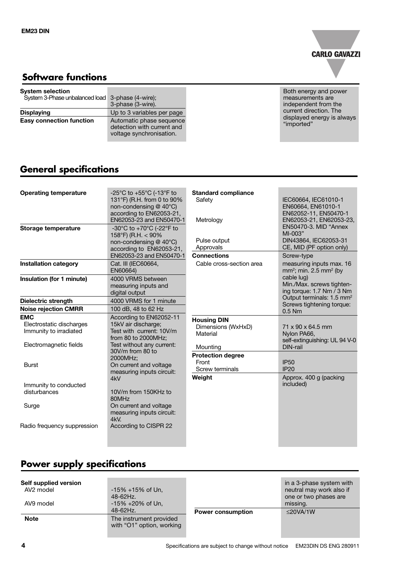

## **Software functions**

| <b>System selection</b><br>System 3-Phase unbalanced load 3-phase (4-wire); | 3-phase (3-wire).                                                                  | Both energy and power<br>measurements are<br>independent from the |
|-----------------------------------------------------------------------------|------------------------------------------------------------------------------------|-------------------------------------------------------------------|
| <b>Displaying</b>                                                           | Up to 3 variables per page                                                         | current direction. The                                            |
| <b>Easy connection function</b>                                             | Automatic phase sequence<br>detection with current and<br>voltage synchronisation. | displayed energy is always<br>"imported"                          |

## **General specifications**

| <b>Operating temperature</b>                                                               | -25°C to +55°C (-13°F to<br>131°F) (R.H. from 0 to 90%<br>non-condensing @ 40°C)<br>according to EN62053-21,<br>EN62053-23 and EN50470-1 | <b>Standard compliance</b><br>Safety<br>Metrology                | IEC60664, IEC61010-1<br>EN60664, EN61010-1<br>EN62052-11, EN50470-1<br>EN62053-21, EN62053-23,<br>EN50470-3. MID "Annex |
|--------------------------------------------------------------------------------------------|------------------------------------------------------------------------------------------------------------------------------------------|------------------------------------------------------------------|-------------------------------------------------------------------------------------------------------------------------|
| <b>Storage temperature</b>                                                                 | -30°C to +70°C (-22°F to<br>158°F) (R.H. $<$ 90%<br>non-condensing @ 40°C)<br>according to EN62053-21,                                   | Pulse output<br>Approvals                                        | MI-003"<br>DIN43864. IEC62053-31<br>CE, MID (PF option only)                                                            |
|                                                                                            | EN62053-23 and EN50470-1                                                                                                                 | <b>Connections</b>                                               | Screw-type                                                                                                              |
| <b>Installation category</b>                                                               | Cat. III (IEC60664,<br>EN60664)                                                                                                          | Cable cross-section area                                         | measuring inputs max. 16<br>mm <sup>2</sup> ; min. 2.5 mm <sup>2</sup> (by                                              |
| Insulation (for 1 minute)                                                                  | 4000 VRMS between<br>measuring inputs and<br>digital output                                                                              |                                                                  | cable lug)<br>Min./Max. screws tighten-<br>ing torque: 1.7 Nm / 3 Nm                                                    |
| Dielectric strength                                                                        | 4000 VRMS for 1 minute                                                                                                                   |                                                                  | Output terminals: 1.5 mm <sup>2</sup>                                                                                   |
| <b>Noise rejection CMRR</b>                                                                | 100 dB, 48 to 62 Hz                                                                                                                      |                                                                  | Screws tightening torque:<br>$0.5$ Nm                                                                                   |
| <b>EMC</b><br>Electrostatic discharges<br>Immunity to irradiated<br>Electromagnetic fields | According to EN62052-11<br>15kV air discharge;<br>Test with current: 10V/m<br>from 80 to 2000MHz;<br>Test without any current:           | <b>Housing DIN</b><br>Dimensions (WxHxD)<br>Material<br>Mounting | 71 x 90 x 64.5 mm<br>Nylon PA66,<br>self-extinguishing: UL 94 V-0<br>DIN-rail                                           |
| <b>Burst</b>                                                                               | 30V/m from 80 to<br>2000MHz:<br>On current and voltage                                                                                   | <b>Protection degree</b><br>Front<br>Screw terminals             | <b>IP50</b><br><b>IP20</b>                                                                                              |
| Immunity to conducted<br>disturbances<br>Surge                                             | measuring inputs circuit:<br>4kV<br>10V/m from 150KHz to<br>80MHz<br>On current and voltage<br>measuring inputs circuit:<br>4kV          | Weight                                                           | Approx. 400 g (packing<br>included)                                                                                     |
| Radio frequency suppression                                                                | According to CISPR 22                                                                                                                    |                                                                  |                                                                                                                         |

## **Power supply specifications**

| Self supplied version<br>AV <sub>2</sub> model | $-15\% + 15\%$ of Un,<br>48-62Hz.                    |                          | in a 3-phase system with<br>neutral may work also if<br>one or two phases are |
|------------------------------------------------|------------------------------------------------------|--------------------------|-------------------------------------------------------------------------------|
| AV9 model                                      | -15% +20% of Un,                                     |                          | missing.                                                                      |
|                                                | 48-62Hz.                                             | <b>Power consumption</b> | $\leq$ 20VA/1W                                                                |
| <b>Note</b>                                    | The instrument provided<br>with "O1" option, working |                          |                                                                               |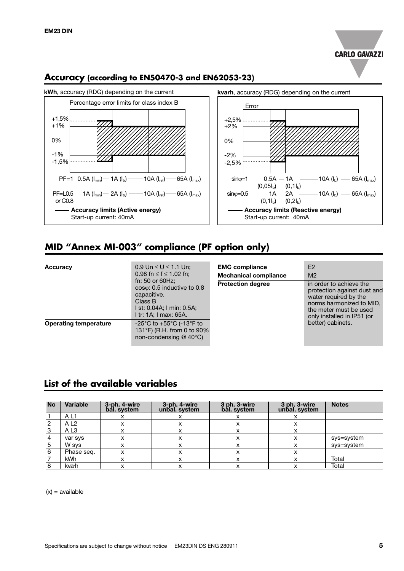



#### **Accuracy (according to EN50470-3 and EN62053-23)**

#### **MID "Annex MI-003" compliance (PF option only)**

| <b>Accuracy</b>              | $0.9 \text{ Un} \le U \le 1.1 \text{ Un};$<br>0.98 fn $\leq$ f $\leq$ 1.02 fn;                                                     | <b>EMC</b> compliance<br><b>Mechanical compliance</b> | E <sub>2</sub><br>M <sub>2</sub>                                                                                                                                    |
|------------------------------|------------------------------------------------------------------------------------------------------------------------------------|-------------------------------------------------------|---------------------------------------------------------------------------------------------------------------------------------------------------------------------|
|                              | fn: $50$ or $60$ Hz;<br>coso: 0.5 inductive to 0.8<br>capacitive.<br>Class B<br>1 st: 0.04A; 1 min: 0.5A;<br>I tr: 1A; I max: 65A. | <b>Protection degree</b>                              | in order to achieve the<br>protection against dust and<br>water required by the<br>norms harmonized to MID,<br>the meter must be used<br>only installed in IP51 (or |
| <b>Operating temperature</b> | -25°C to +55°C (-13°F to<br>131°F) (R.H. from 0 to 90%<br>non-condensing $@$ 40 $°C$ )                                             |                                                       | better) cabinets.                                                                                                                                                   |

#### **List of the available variables**

| <b>No</b> | <b>Variable</b> | 3-ph. 4-wire<br>bal. system | 3-ph. 4-wire<br>unbal. system | 3 ph. 3-wire<br>bal. system | 3 ph. 3-wire<br>unbal. system | <b>Notes</b> |
|-----------|-----------------|-----------------------------|-------------------------------|-----------------------------|-------------------------------|--------------|
|           | AL <sub>1</sub> |                             |                               | x                           |                               |              |
| 2         | AL <sub>2</sub> |                             |                               |                             |                               |              |
| 3         | A <sub>L3</sub> |                             | x                             |                             | x                             |              |
| 4         | var sys         |                             | x                             | x                           | x                             | sys=system   |
| 5         | W sys           |                             | x                             |                             |                               | sys=system   |
| 6         | Phase seg.      |                             |                               |                             |                               |              |
|           | kWh             |                             | x                             |                             |                               | Total        |
| 8         | kvarh           |                             |                               |                             |                               | Total        |

 $(x) = a$ vailable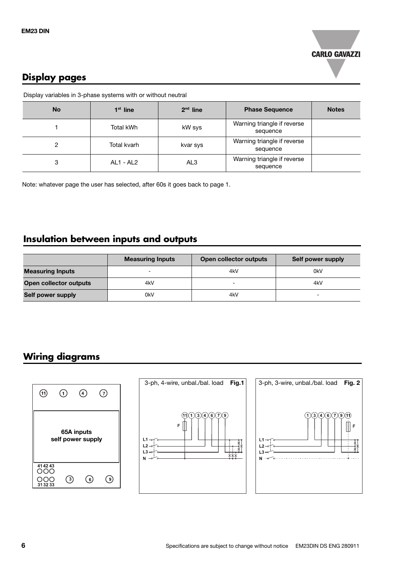

### **Display pages**

Display variables in 3-phase systems with or without neutral

| <b>No</b> | $1st$ line  | $2nd$ line      | <b>Phase Sequence</b>                   | <b>Notes</b> |
|-----------|-------------|-----------------|-----------------------------------------|--------------|
|           | Total kWh   | kW sys          | Warning triangle if reverse<br>sequence |              |
| 2         | Total kvarh | kvar sys        | Warning triangle if reverse<br>sequence |              |
| 3         | AL1 - AL2   | AL <sub>3</sub> | Warning triangle if reverse<br>sequence |              |

Note: whatever page the user has selected, after 60s it goes back to page 1.

#### **Insulation between inputs and outputs**

|                         | <b>Measuring Inputs</b> | Open collector outputs | Self power supply |
|-------------------------|-------------------------|------------------------|-------------------|
| <b>Measuring Inputs</b> |                         | 4kV                    | 0kV               |
| Open collector outputs  | 4kV                     | -                      | 4kV               |
| Self power supply       | 0kV                     | 4kV                    | -                 |

## **Wiring diagrams**